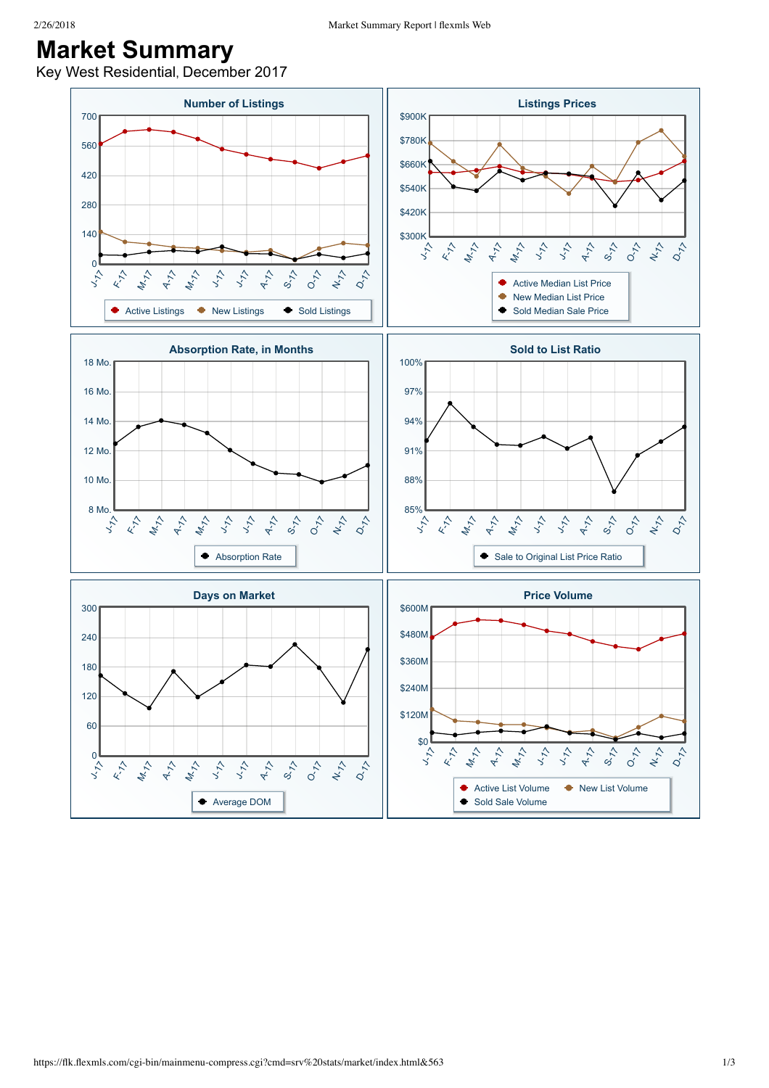## **Market Summary**

Key West Residential, December 2017

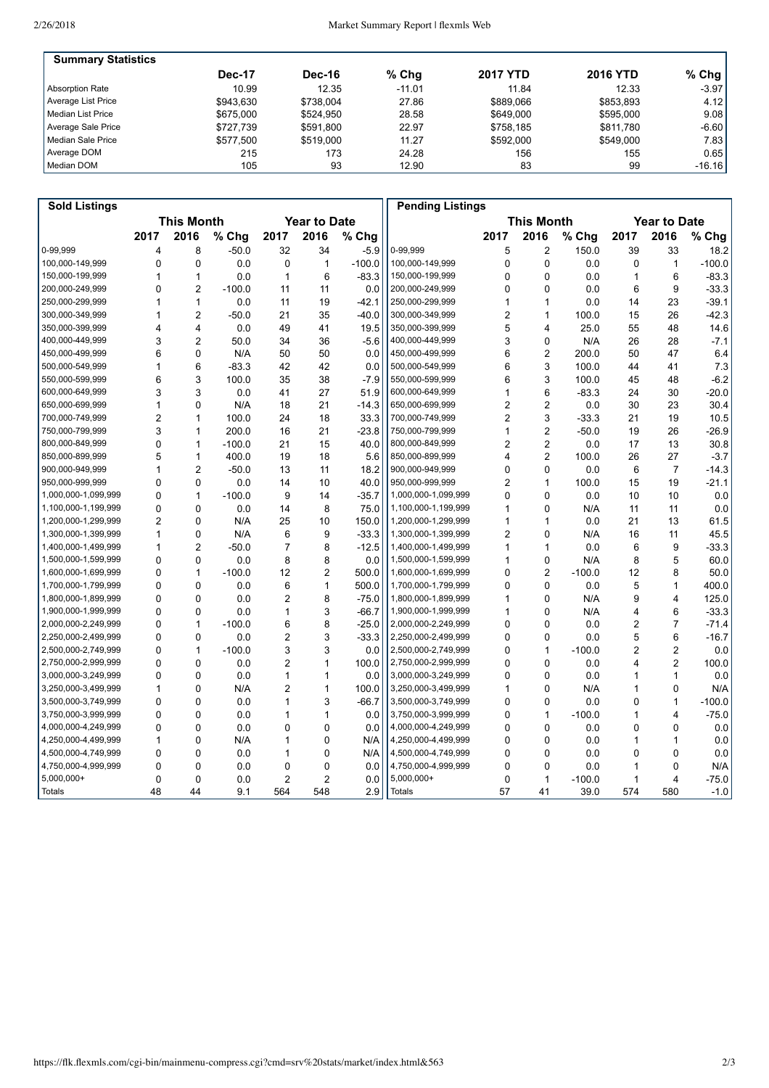| <b>Summary Statistics</b> |               |               |          |                 |                 |          |
|---------------------------|---------------|---------------|----------|-----------------|-----------------|----------|
|                           | <b>Dec-17</b> | <b>Dec-16</b> | $%$ Chg  | <b>2017 YTD</b> | <b>2016 YTD</b> | $%$ Chg  |
| <b>Absorption Rate</b>    | 10.99         | 12.35         | $-11.01$ | 11.84           | 12.33           | $-3.97$  |
| Average List Price        | \$943.630     | \$738.004     | 27.86    | \$889,066       | \$853.893       | 4.12     |
| l Median List Price       | \$675,000     | \$524.950     | 28.58    | \$649,000       | \$595.000       | 9.08     |
| Average Sale Price        | \$727.739     | \$591.800     | 22.97    | \$758.185       | \$811.780       | $-6.60$  |
| l Median Sale Price       | \$577.500     | \$519,000     | 11.27    | \$592,000       | \$549.000       | 7.83     |
| Average DOM               | 215           | 173           | 24.28    | 156             | 155             | 0.65     |
| Median DOM                | 105           | 93            | 12.90    | 83              | 99              | $-16.16$ |

| <b>Sold Listings</b> |                                          |                |          |                |                |          | <b>Pending Listings</b>                  |                |                |          |              |                |          |
|----------------------|------------------------------------------|----------------|----------|----------------|----------------|----------|------------------------------------------|----------------|----------------|----------|--------------|----------------|----------|
|                      | <b>This Month</b><br><b>Year to Date</b> |                |          |                |                |          | <b>This Month</b><br><b>Year to Date</b> |                |                |          |              |                |          |
|                      | 2017                                     | 2016           | % Chg    | 2017           | 2016           | % Chg    |                                          | 2017           | 2016           | % Chg    | 2017         | 2016           | % Chg    |
| 0-99,999             | 4                                        | 8              | $-50.0$  | 32             | 34             | $-5.9$   | 0-99,999                                 | 5              | $\overline{c}$ | 150.0    | 39           | 33             | 18.2     |
| 100,000-149,999      | 0                                        | 0              | 0.0      | 0              | $\mathbf{1}$   | $-100.0$ | 100,000-149,999                          | 0              | 0              | 0.0      | 0            | $\mathbf{1}$   | $-100.0$ |
| 150,000-199,999      | 1                                        | 1              | 0.0      | $\mathbf{1}$   | 6              | $-83.3$  | 150,000-199,999                          | 0              | $\Omega$       | 0.0      | $\mathbf{1}$ | 6              | $-83.3$  |
| 200,000-249,999      | 0                                        | 2              | $-100.0$ | 11             | 11             | 0.0      | 200,000-249,999                          | 0              | 0              | 0.0      | 6            | 9              | $-33.3$  |
| 250,000-299,999      | 1                                        | $\mathbf{1}$   | 0.0      | 11             | 19             | $-42.1$  | 250,000-299,999                          | 1              | 1              | 0.0      | 14           | 23             | $-39.1$  |
| 300,000-349,999      | 1                                        | $\overline{2}$ | $-50.0$  | 21             | 35             | $-40.0$  | 300,000-349,999                          | 2              | 1              | 100.0    | 15           | 26             | $-42.3$  |
| 350,000-399,999      | 4                                        | 4              | 0.0      | 49             | 41             | 19.5     | 350,000-399,999                          | 5              | 4              | 25.0     | 55           | 48             | 14.6     |
| 400,000-449,999      | 3                                        | $\overline{2}$ | 50.0     | 34             | 36             | $-5.6$   | 400,000-449,999                          | 3              | $\Omega$       | N/A      | 26           | 28             | $-7.1$   |
| 450,000-499,999      | 6                                        | $\Omega$       | N/A      | 50             | 50             | 0.0      | 450,000-499,999                          | 6              | $\overline{2}$ | 200.0    | 50           | 47             | 6.4      |
| 500.000-549.999      | 1                                        | 6              | $-83.3$  | 42             | 42             | 0.0      | 500,000-549,999                          | 6              | 3              | 100.0    | 44           | 41             | 7.3      |
| 550,000-599,999      | 6                                        | 3              | 100.0    | 35             | 38             | $-7.9$   | 550,000-599,999                          | 6              | 3              | 100.0    | 45           | 48             | $-6.2$   |
| 600,000-649,999      | 3                                        | 3              | 0.0      | 41             | 27             | 51.9     | 600,000-649,999                          | 1              | 6              | $-83.3$  | 24           | 30             | $-20.0$  |
| 650,000-699,999      | 1                                        | $\Omega$       | N/A      | 18             | 21             | $-14.3$  | 650,000-699,999                          | $\overline{2}$ | $\overline{2}$ | 0.0      | 30           | 23             | 30.4     |
| 700,000-749,999      | 2                                        | 1              | 100.0    | 24             | 18             | 33.3     | 700,000-749,999                          | 2              | 3              | $-33.3$  | 21           | 19             | 10.5     |
| 750,000-799,999      | 3                                        | $\mathbf{1}$   | 200.0    | 16             | 21             | $-23.8$  | 750,000-799,999                          | 1              | $\overline{c}$ | $-50.0$  | 19           | 26             | $-26.9$  |
| 800,000-849,999      | 0                                        | 1              | $-100.0$ | 21             | 15             | 40.0     | 800,000-849,999                          | 2              | $\overline{2}$ | 0.0      | 17           | 13             | 30.8     |
| 850,000-899,999      | 5                                        | $\mathbf{1}$   | 400.0    | 19             | 18             | 5.6      | 850,000-899,999                          | 4              | $\overline{2}$ | 100.0    | 26           | 27             | $-3.7$   |
| 900,000-949,999      | 1                                        | $\overline{2}$ | $-50.0$  | 13             | 11             | 18.2     | 900,000-949,999                          | 0              | $\mathbf{0}$   | 0.0      | 6            | $\overline{7}$ | $-14.3$  |
| 950,000-999,999      | 0                                        | 0              | 0.0      | 14             | 10             | 40.0     | 950,000-999,999                          | $\overline{2}$ | 1              | 100.0    | 15           | 19             | $-21.1$  |
| 1,000,000-1,099,999  | 0                                        | 1              | $-100.0$ | 9              | 14             | $-35.7$  | 1,000,000-1,099,999                      | 0              | $\mathbf 0$    | 0.0      | 10           | 10             | 0.0      |
| 1,100,000-1,199,999  | 0                                        | 0              | 0.0      | 14             | 8              | 75.0     | 1,100,000-1,199,999                      | 1              | 0              | N/A      | 11           | 11             | 0.0      |
| 1,200,000-1,299,999  | $\overline{2}$                           | $\mathbf 0$    | N/A      | 25             | 10             | 150.0    | 1,200,000-1,299,999                      | 1              | 1              | 0.0      | 21           | 13             | 61.5     |
| 1,300,000-1,399,999  | 1                                        | 0              | N/A      | 6              | 9              | $-33.3$  | 1,300,000-1,399,999                      | 2              | 0              | N/A      | 16           | 11             | 45.5     |
| 1,400,000-1,499,999  | 1                                        | $\overline{2}$ | $-50.0$  | 7              | 8              | $-12.5$  | 1,400,000-1,499,999                      | 1              | 1              | 0.0      | 6            | 9              | $-33.3$  |
| 1,500,000-1,599,999  | 0                                        | 0              | 0.0      | 8              | 8              | 0.0      | 1,500,000-1,599,999                      | 1              | 0              | N/A      | 8            | 5              | 60.0     |
| 1,600,000-1,699,999  | 0                                        | 1              | $-100.0$ | 12             | 2              | 500.0    | 1,600,000-1,699,999                      | 0              | $\overline{2}$ | $-100.0$ | 12           | 8              | 50.0     |
| 1,700,000-1,799,999  | 0                                        | 0              | 0.0      | 6              | $\mathbf{1}$   | 500.0    | 1,700,000-1,799,999                      | 0              | 0              | 0.0      | 5            | 1              | 400.0    |
| 1,800,000-1,899,999  | 0                                        | 0              | 0.0      | 2              | 8              | $-75.0$  | 1,800,000-1,899,999                      | 1              | 0              | N/A      | 9            | 4              | 125.0    |
| 1,900,000-1,999,999  | 0                                        | 0              | 0.0      | 1              | 3              | $-66.7$  | 1,900,000-1,999,999                      | 1              | 0              | N/A      | 4            | 6              | $-33.3$  |
| 2,000,000-2,249,999  | 0                                        | 1              | $-100.0$ | 6              | 8              | $-25.0$  | 2,000,000-2,249,999                      | 0              | 0              | 0.0      | 2            | $\overline{7}$ | $-71.4$  |
| 2,250,000-2,499,999  | 0                                        | 0              | 0.0      | 2              | 3              | $-33.3$  | 2,250,000-2,499,999                      | 0              | 0              | 0.0      | 5            | 6              | $-16.7$  |
| 2,500,000-2,749,999  | 0                                        | 1              | $-100.0$ | 3              | 3              | 0.0      | 2,500,000-2,749,999                      | 0              | 1              | $-100.0$ | 2            | 2              | 0.0      |
| 2,750,000-2,999,999  | 0                                        | $\Omega$       | 0.0      | $\overline{c}$ | 1              | 100.0    | 2,750,000-2,999,999                      | 0              | $\Omega$       | 0.0      | 4            | $\overline{2}$ | 100.0    |
| 3,000,000-3,249,999  | 0                                        | $\Omega$       | 0.0      | 1              | 1              | 0.0      | 3,000,000-3,249,999                      | 0              | $\Omega$       | 0.0      | 1            | 1              | 0.0      |
| 3,250,000-3,499,999  | 1                                        | $\Omega$       | N/A      | $\overline{c}$ | 1              | 100.0    | 3,250,000-3,499,999                      | 1              | $\mathbf{0}$   | N/A      | 1            | 0              | N/A      |
| 3,500,000-3,749,999  | 0                                        | $\Omega$       | 0.0      | 1              | 3              | $-66.7$  | 3,500,000-3,749,999                      | 0              | $\Omega$       | 0.0      | 0            | 1              | $-100.0$ |
| 3,750,000-3,999,999  | 0                                        | $\Omega$       | 0.0      | 1              | 1              | 0.0      | 3,750,000-3,999,999                      | 0              | $\mathbf{1}$   | $-100.0$ | $\mathbf{1}$ | 4              | $-75.0$  |
| 4,000,000-4,249,999  | 0                                        | $\Omega$       | 0.0      | 0              | 0              | 0.0      | 4,000,000-4,249,999                      | 0              | 0              | 0.0      | 0            | 0              | 0.0      |
| 4,250,000-4,499,999  | 1                                        | $\Omega$       | N/A      | 1              | 0              | N/A      | 4,250,000-4,499,999                      | 0              | $\Omega$       | 0.0      | 1            | 1              | 0.0      |
| 4,500,000-4,749,999  | 0                                        | $\Omega$       | 0.0      | 1              | 0              | N/A      | 4,500,000-4,749,999                      | 0              | 0              | 0.0      | 0            | 0              | 0.0      |
| 4,750,000-4,999,999  | 0                                        | 0              | 0.0      | 0              | 0              | 0.0      | 4,750,000-4,999,999                      | 0              | 0              | 0.0      | 1            | 0              | N/A      |
| 5,000,000+           | 0                                        | $\mathbf 0$    | 0.0      | $\overline{c}$ | $\overline{c}$ | 0.0      | 5,000,000+                               | $\mathbf 0$    | $\mathbf{1}$   | $-100.0$ | 1            | 4              | $-75.0$  |
| Totals               | 48                                       | 44             | 9.1      | 564            | 548            | 2.9      | Totals                                   | 57             | 41             | 39.0     | 574          | 580            | $-1.0$   |